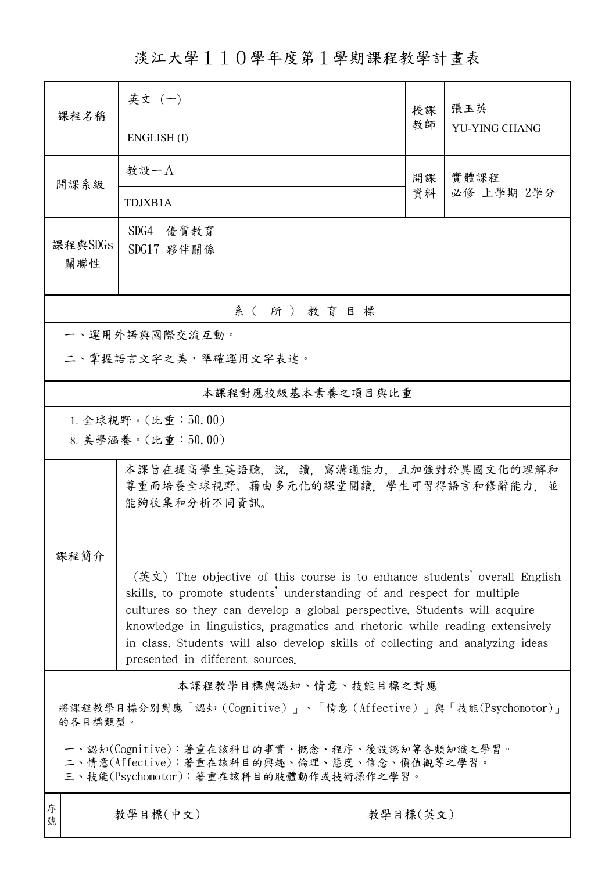淡江大學110學年度第1學期課程教學計畫表

| 課程名稱                                                                                                                                   | 英文 (一)                                                                                                                                                                                                                                                                                                                                                                                                                             |          | 授課 | 張玉英                  |  |  |  |
|----------------------------------------------------------------------------------------------------------------------------------------|------------------------------------------------------------------------------------------------------------------------------------------------------------------------------------------------------------------------------------------------------------------------------------------------------------------------------------------------------------------------------------------------------------------------------------|----------|----|----------------------|--|--|--|
|                                                                                                                                        | ENGLISH(I)                                                                                                                                                                                                                                                                                                                                                                                                                         |          | 教師 | <b>YU-YING CHANG</b> |  |  |  |
| 開課系級                                                                                                                                   | 教設一A                                                                                                                                                                                                                                                                                                                                                                                                                               |          | 開課 | 實體課程<br>必修 上學期 2學分   |  |  |  |
|                                                                                                                                        | TDJXB1A                                                                                                                                                                                                                                                                                                                                                                                                                            |          | 資料 |                      |  |  |  |
| 課程與SDGs                                                                                                                                | SDG4 優質教育                                                                                                                                                                                                                                                                                                                                                                                                                          |          |    |                      |  |  |  |
| 關聯性                                                                                                                                    | SDG17 夥伴關係                                                                                                                                                                                                                                                                                                                                                                                                                         |          |    |                      |  |  |  |
| 系(所)教育目標                                                                                                                               |                                                                                                                                                                                                                                                                                                                                                                                                                                    |          |    |                      |  |  |  |
| 一、運用外語與國際交流互動。                                                                                                                         |                                                                                                                                                                                                                                                                                                                                                                                                                                    |          |    |                      |  |  |  |
| 二、掌握語言文字之美,準確運用文字表達。                                                                                                                   |                                                                                                                                                                                                                                                                                                                                                                                                                                    |          |    |                      |  |  |  |
| 本課程對應校級基本素養之項目與比重                                                                                                                      |                                                                                                                                                                                                                                                                                                                                                                                                                                    |          |    |                      |  |  |  |
| 1. 全球視野。(比重:50.00)                                                                                                                     |                                                                                                                                                                                                                                                                                                                                                                                                                                    |          |    |                      |  |  |  |
|                                                                                                                                        | 8. 美學涵養。(比重:50.00)                                                                                                                                                                                                                                                                                                                                                                                                                 |          |    |                      |  |  |  |
|                                                                                                                                        | 本課旨在提高學生英語聽,說,讀,寫溝通能力,且加強對於異國文化的理解和<br>尊重而培養全球視野。藉由多元化的課堂閱讀,學生可習得語言和修辭能力,並<br>能夠收集和分析不同資訊。                                                                                                                                                                                                                                                                                                                                         |          |    |                      |  |  |  |
| 課程簡介                                                                                                                                   |                                                                                                                                                                                                                                                                                                                                                                                                                                    |          |    |                      |  |  |  |
|                                                                                                                                        | (英文) The objective of this course is to enhance students' overall English<br>skills, to promote students' understanding of and respect for multiple<br>cultures so they can develop a global perspective. Students will acquire<br>knowledge in linguistics, pragmatics and rhetoric while reading extensively<br>in class. Students will also develop skills of collecting and analyzing ideas<br>presented in different sources. |          |    |                      |  |  |  |
| 本課程教學目標與認知、情意、技能目標之對應                                                                                                                  |                                                                                                                                                                                                                                                                                                                                                                                                                                    |          |    |                      |  |  |  |
| 將課程教學目標分別對應「認知 (Cognitive)」、「情意 (Affective)」與「技能(Psychomotor)」<br>的各目標類型。                                                              |                                                                                                                                                                                                                                                                                                                                                                                                                                    |          |    |                      |  |  |  |
| 一、認知(Cognitive):著重在該科目的事實、概念、程序、後設認知等各類知識之學習。<br>二、情意(Affective):著重在該科目的興趣、倫理、態度、信念、價值觀等之學習。<br>三、技能(Psychomotor):著重在該科目的肢體動作或技術操作之學習。 |                                                                                                                                                                                                                                                                                                                                                                                                                                    |          |    |                      |  |  |  |
| 序<br>號                                                                                                                                 | 教學目標(中文)                                                                                                                                                                                                                                                                                                                                                                                                                           | 教學目標(英文) |    |                      |  |  |  |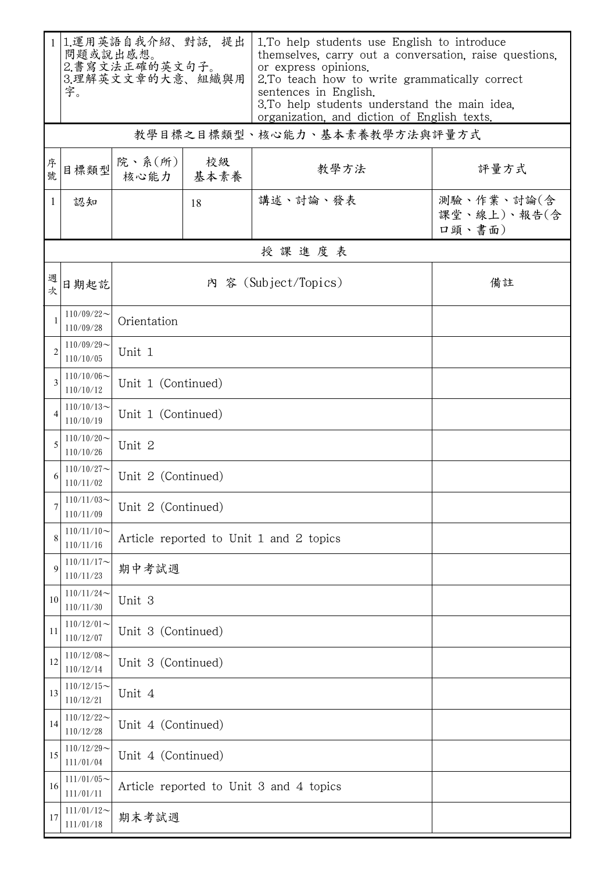|                | 1.運用英語自我介紹、對話、提出<br>問題或說出感想。<br>2.書寫文法正確的英文句子。<br>3.理解英文文章的大意、組織與用<br>字。 |                                         |                    | 1. To help students use English to introduce<br>themselves, carry out a conversation, raise questions,<br>or express opinions.<br>2. To teach how to write grammatically correct<br>sentences in English.<br>3. To help students understand the main idea.<br>organization, and diction of English texts. |                                     |  |  |  |
|----------------|--------------------------------------------------------------------------|-----------------------------------------|--------------------|-----------------------------------------------------------------------------------------------------------------------------------------------------------------------------------------------------------------------------------------------------------------------------------------------------------|-------------------------------------|--|--|--|
|                | 教學目標之目標類型、核心能力、基本素養教學方法與評量方式                                             |                                         |                    |                                                                                                                                                                                                                                                                                                           |                                     |  |  |  |
| 序號             | 目標類型                                                                     | 院、系 $(\kappa)$<br>核心能力 基本素養             | 校級                 | 教學方法                                                                                                                                                                                                                                                                                                      | 評量方式                                |  |  |  |
| 1              | 認知                                                                       |                                         | 18                 | 講述、討論、發表                                                                                                                                                                                                                                                                                                  | 測驗、作業、討論(含<br>課堂、線上)、報告(含<br>口頭、書面) |  |  |  |
|                |                                                                          |                                         |                    | 授課進度表                                                                                                                                                                                                                                                                                                     |                                     |  |  |  |
| 週次             | 日期起訖                                                                     | 內 容 (Subject/Topics)<br>備註              |                    |                                                                                                                                                                                                                                                                                                           |                                     |  |  |  |
| $\mathbf{1}$   | $110/09/22$ ~<br>110/09/28                                               | Orientation                             |                    |                                                                                                                                                                                                                                                                                                           |                                     |  |  |  |
| $\overline{2}$ | $110/09/29$ ~<br>110/10/05                                               | Unit 1                                  |                    |                                                                                                                                                                                                                                                                                                           |                                     |  |  |  |
| 3              | $110/10/06 \sim$<br>110/10/12                                            | Unit 1 (Continued)                      |                    |                                                                                                                                                                                                                                                                                                           |                                     |  |  |  |
| 4              | $110/10/13$ ~<br>110/10/19                                               | Unit 1 (Continued)                      |                    |                                                                                                                                                                                                                                                                                                           |                                     |  |  |  |
| 5              | $110/10/20$ ~<br>110/10/26                                               | Unit 2                                  |                    |                                                                                                                                                                                                                                                                                                           |                                     |  |  |  |
| 6              | $110/10/27$ ~<br>110/11/02                                               | Unit 2 (Continued)                      |                    |                                                                                                                                                                                                                                                                                                           |                                     |  |  |  |
| 7              | $110/11/03$ ~<br>110/11/09                                               | Unit 2 (Continued)                      |                    |                                                                                                                                                                                                                                                                                                           |                                     |  |  |  |
| 8              | $110/11/10 \sim$<br>110/11/16                                            | Article reported to Unit 1 and 2 topics |                    |                                                                                                                                                                                                                                                                                                           |                                     |  |  |  |
| 9              | $110/11/17$ ~<br>110/11/23                                               | 期中考試週                                   |                    |                                                                                                                                                                                                                                                                                                           |                                     |  |  |  |
| 10             | $110/11/24$ ~<br>110/11/30                                               | Unit 3                                  |                    |                                                                                                                                                                                                                                                                                                           |                                     |  |  |  |
| 11             | $110/12/01$ ~<br>110/12/07                                               | Unit 3 (Continued)                      |                    |                                                                                                                                                                                                                                                                                                           |                                     |  |  |  |
| 12             | $110/12/08$ ~<br>110/12/14                                               |                                         | Unit 3 (Continued) |                                                                                                                                                                                                                                                                                                           |                                     |  |  |  |
| 13             | $110/12/15$ ~<br>110/12/21                                               | Unit 4                                  |                    |                                                                                                                                                                                                                                                                                                           |                                     |  |  |  |
| 14             | $110/12/22$ ~<br>110/12/28                                               | Unit 4 (Continued)                      |                    |                                                                                                                                                                                                                                                                                                           |                                     |  |  |  |
| 15             | $110/12/29$ ~<br>111/01/04                                               |                                         | Unit 4 (Continued) |                                                                                                                                                                                                                                                                                                           |                                     |  |  |  |
| 16             | $111/01/05$ ~<br>111/01/11                                               | Article reported to Unit 3 and 4 topics |                    |                                                                                                                                                                                                                                                                                                           |                                     |  |  |  |
| 17             | $111/01/12$ ~<br>111/01/18                                               | 期末考試週                                   |                    |                                                                                                                                                                                                                                                                                                           |                                     |  |  |  |